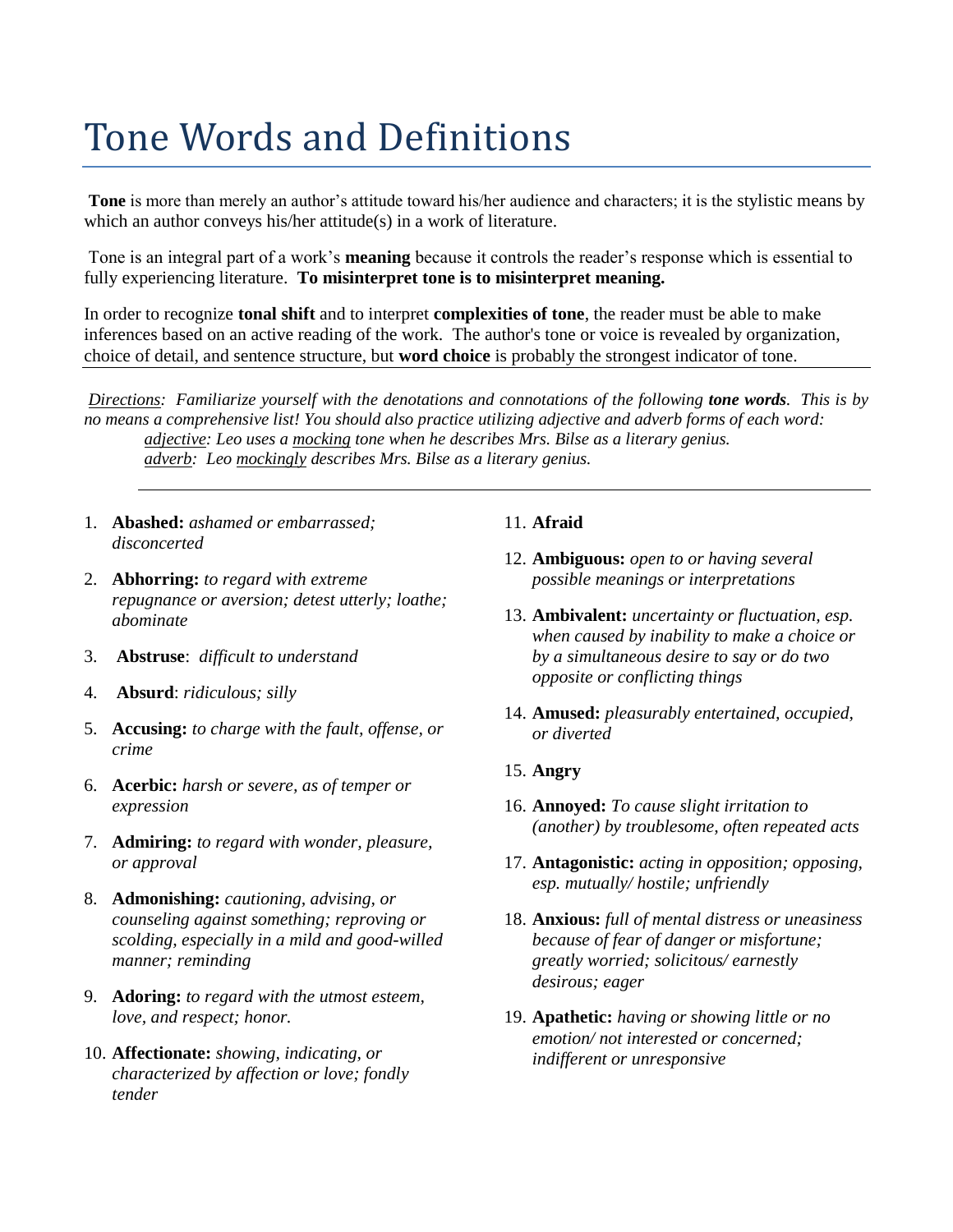# Tone Words and Definitions

**Tone** is more than merely an author's attitude toward his/her audience and characters; it is the stylistic means by which an author conveys his/her attitude(s) in a work of literature.

Tone is an integral part of a work's **meaning** because it controls the reader's response which is essential to fully experiencing literature. **To misinterpret tone is to misinterpret meaning.** 

In order to recognize **tonal shift** and to interpret **complexities of tone**, the reader must be able to make inferences based on an active reading of the work. The author's tone or voice is revealed by organization, choice of detail, and sentence structure, but **word choice** is probably the strongest indicator of tone.

*Directions: Familiarize yourself with the denotations and connotations of the following tone words. This is by no means a comprehensive list! You should also practice utilizing adjective and adverb forms of each word: adjective: Leo uses a mocking tone when he describes Mrs. Bilse as a literary genius. adverb: Leo mockingly describes Mrs. Bilse as a literary genius.*

- 1. **Abashed:** *ashamed or embarrassed; disconcerted*
- 2. **Abhorring:** *to regard with extreme repugnance or aversion; detest utterly; loathe; abominate*
- 3. **Abstruse**: *difficult to understand*
- 4. **Absurd**: *ridiculous; silly*
- 5. **Accusing:** *to charge with the fault, offense, or crime*
- 6. **Acerbic:** *harsh or severe, as of temper or expression*
- 7. **Admiring:** *to regard with wonder, pleasure, or approval*
- 8. **Admonishing:** *cautioning, advising, or counseling against something; reproving or scolding, especially in a mild and good-willed manner; reminding*
- 9. **Adoring:** *to regard with the utmost esteem, love, and respect; honor.*
- 10. **Affectionate:** *showing, indicating, or characterized by affection or love; fondly tender*

# 11. **Afraid**

- 12. **Ambiguous:** *open to or having several possible meanings or interpretations*
- 13. **Ambivalent:** *uncertainty or fluctuation, esp. when caused by inability to make a choice or by a simultaneous desire to say or do two opposite or conflicting things*
- 14. **Amused:** *pleasurably entertained, occupied, or diverted*
- 15. **Angry**
- 16. **Annoyed:** *To cause slight irritation to (another) by troublesome, often repeated acts*
- 17. **Antagonistic:** *acting in opposition; opposing, esp. mutually/ hostile; unfriendly*
- 18. **Anxious:** *full of mental distress or uneasiness because of fear of danger or misfortune; greatly worried; solicitous/ earnestly desirous; eager*
- 19. **Apathetic:** *having or showing little or no emotion/ not interested or concerned; indifferent or unresponsive*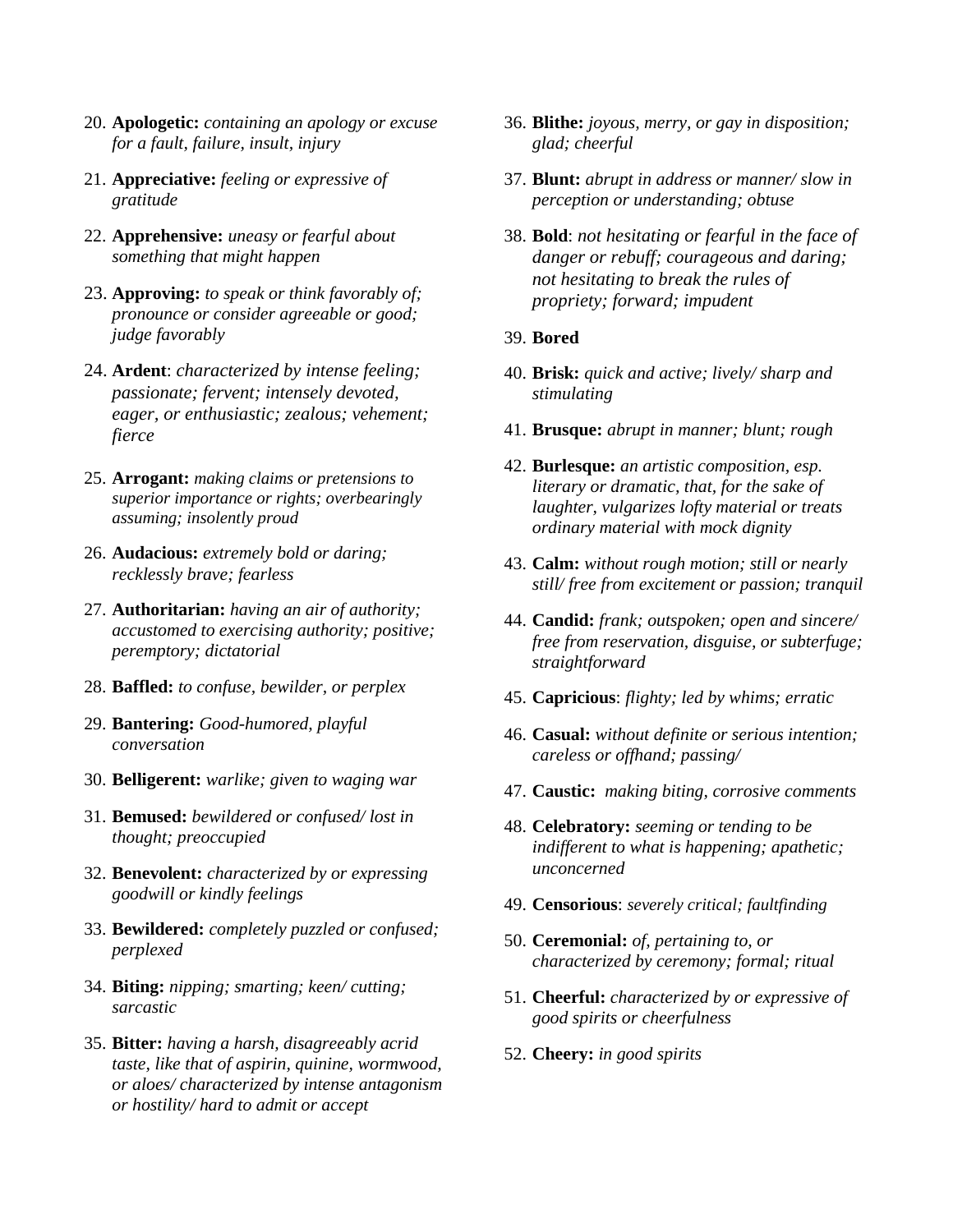- 20. **Apologetic:** *containing an apology or excuse for a fault, failure, insult, injury*
- 21. **Appreciative:** *feeling or expressive of gratitude*
- 22. **Apprehensive:** *uneasy or fearful about something that might happen*
- 23. **Approving:** *to speak or think favorably of; pronounce or consider agreeable or good; judge favorably*
- 24. **Ardent**: *characterized by intense feeling; passionate; fervent; intensely devoted, eager, or enthusiastic; zealous; vehement; fierce*
- 25. **Arrogant:** *making claims or pretensions to superior importance or rights; overbearingly assuming; insolently proud*
- 26. **Audacious:** *extremely bold or daring; recklessly brave; fearless*
- 27. **Authoritarian:** *having an air of authority; accustomed to exercising authority; positive; peremptory; dictatorial*
- 28. **Baffled:** *to confuse, bewilder, or perplex*
- 29. **Bantering:** *Good-humored, playful conversation*
- 30. **Belligerent:** *warlike; given to waging war*
- 31. **Bemused:** *bewildered or confused/ lost in thought; preoccupied*
- 32. **Benevolent:** *characterized by or expressing goodwill or kindly feelings*
- 33. **Bewildered:** *completely puzzled or confused; perplexed*
- 34. **Biting:** *nipping; smarting; keen/ cutting; sarcastic*
- 35. **Bitter:** *having a harsh, disagreeably acrid taste, like that of aspirin, quinine, wormwood, or aloes/ characterized by intense antagonism or hostility/ hard to admit or accept*
- 36. **Blithe:** *joyous, merry, or gay in disposition; glad; cheerful*
- 37. **Blunt:** *abrupt in address or manner/ slow in perception or understanding; obtuse*
- 38. **Bold**: *not hesitating or fearful in the face of danger or rebuff; courageous and daring; not hesitating to break the rules of propriety; forward; impudent*
- 39. **Bored**
- 40. **Brisk:** *quick and active; lively/ sharp and stimulating*
- 41. **Brusque:** *abrupt in manner; blunt; rough*
- 42. **Burlesque:** *an artistic composition, esp. literary or dramatic, that, for the sake of laughter, vulgarizes lofty material or treats ordinary material with mock dignity*
- 43. **Calm:** *without rough motion; still or nearly still/ free from excitement or passion; tranquil*
- 44. **Candid:** *frank; outspoken; open and sincere/ free from reservation, disguise, or subterfuge; straightforward*
- 45. **Capricious**: *flighty; led by whims; erratic*
- 46. **Casual:** *without definite or serious intention; careless or offhand; passing/*
- 47. **Caustic:** *making biting, corrosive comments*
- 48. **Celebratory:** *seeming or tending to be indifferent to what is happening; apathetic; unconcerned*
- 49. **Censorious**: *severely critical; faultfinding*
- 50. **Ceremonial:** *of, pertaining to, or characterized by ceremony; formal; ritual*
- 51. **Cheerful:** *characterized by or expressive of good spirits or cheerfulness*
- 52. **Cheery:** *in good spirits*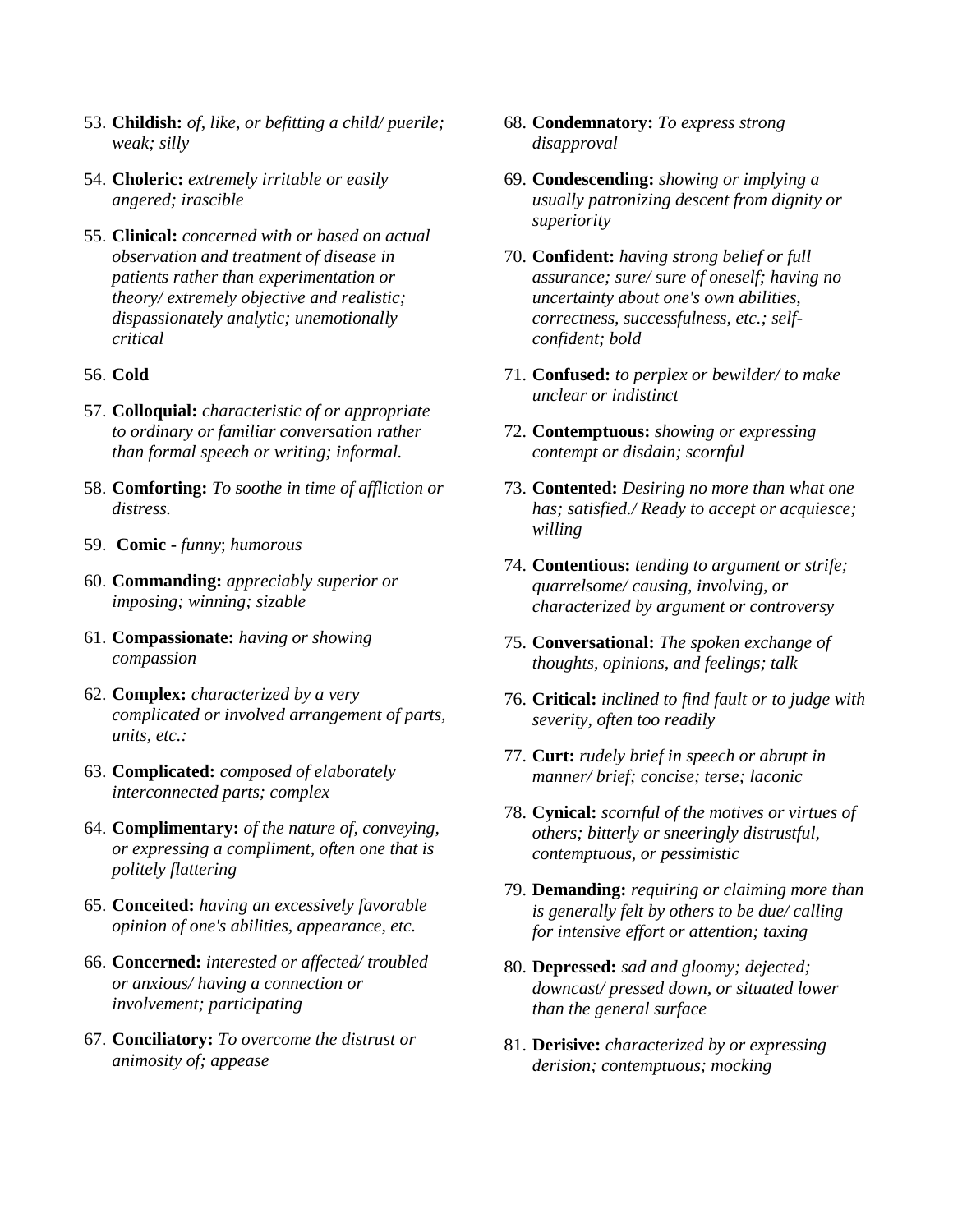- 53. **Childish:** *of, like, or befitting a child/ puerile; weak; silly*
- 54. **Choleric:** *extremely irritable or easily angered; irascible*
- 55. **Clinical:** *concerned with or based on actual observation and treatment of disease in patients rather than experimentation or theory/ extremely objective and realistic; dispassionately analytic; unemotionally critical*

## 56. **Cold**

- 57. **Colloquial:** *characteristic of or appropriate to ordinary or familiar conversation rather than formal speech or writing; informal.*
- 58. **Comforting:** *To soothe in time of affliction or distress.*
- 59. **Comic** *funny*; *humorous*
- 60. **Commanding:** *appreciably superior or imposing; winning; sizable*
- 61. **Compassionate:** *having or showing compassion*
- 62. **Complex:** *characterized by a very complicated or involved arrangement of parts, units, etc.:*
- 63. **Complicated:** *composed of elaborately interconnected parts; complex*
- 64. **Complimentary:** *of the nature of, conveying, or expressing a compliment, often one that is politely flattering*
- 65. **Conceited:** *having an excessively favorable opinion of one's abilities, appearance, etc.*
- 66. **Concerned:** *interested or affected/ troubled or anxious/ having a connection or involvement; participating*
- 67. **Conciliatory:** *To overcome the distrust or animosity of; appease*
- 68. **Condemnatory:** *To express strong disapproval*
- 69. **Condescending:** *showing or implying a usually patronizing descent from dignity or superiority*
- 70. **Confident:** *having strong belief or full assurance; sure/ sure of oneself; having no uncertainty about one's own abilities, correctness, successfulness, etc.; selfconfident; bold*
- 71. **Confused:** *to perplex or bewilder/ to make unclear or indistinct*
- 72. **Contemptuous:** *showing or expressing contempt or disdain; scornful*
- 73. **Contented:** *Desiring no more than what one has; satisfied./ Ready to accept or acquiesce; willing*
- 74. **Contentious:** *tending to argument or strife; quarrelsome/ causing, involving, or characterized by argument or controversy*
- 75. **Conversational:** *The spoken exchange of thoughts, opinions, and feelings; talk*
- 76. **Critical:** *inclined to find fault or to judge with severity, often too readily*
- 77. **Curt:** *rudely brief in speech or abrupt in manner/ brief; concise; terse; laconic*
- 78. **Cynical:** *scornful of the motives or virtues of others; bitterly or sneeringly distrustful, contemptuous, or pessimistic*
- 79. **Demanding:** *requiring or claiming more than is generally felt by others to be due/ calling for intensive effort or attention; taxing*
- 80. **Depressed:** *sad and gloomy; dejected; downcast/ pressed down, or situated lower than the general surface*
- 81. **Derisive:** *characterized by or expressing derision; contemptuous; mocking*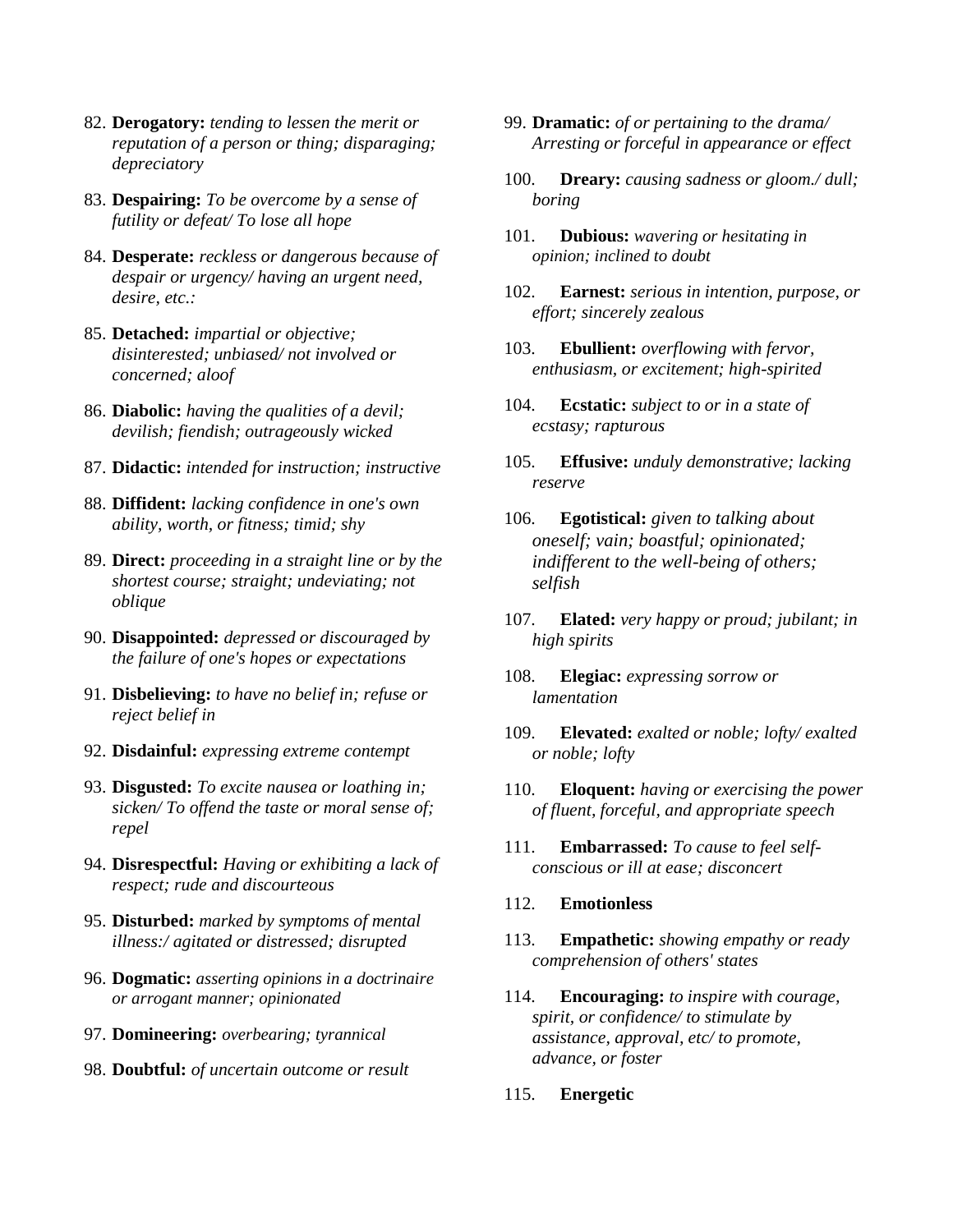- 82. **Derogatory:** *tending to lessen the merit or reputation of a person or thing; disparaging; depreciatory*
- 83. **Despairing:** *To be overcome by a sense of futility or defeat/ To lose all hope*
- 84. **Desperate:** *reckless or dangerous because of despair or urgency/ having an urgent need, desire, etc.:*
- 85. **Detached:** *impartial or objective; disinterested; unbiased/ not involved or concerned; aloof*
- 86. **Diabolic:** *having the qualities of a devil; devilish; fiendish; outrageously wicked*
- 87. **Didactic:** *intended for instruction; instructive*
- 88. **Diffident:** *lacking confidence in one's own ability, worth, or fitness; timid; shy*
- 89. **Direct:** *proceeding in a straight line or by the shortest course; straight; undeviating; not oblique*
- 90. **Disappointed:** *depressed or discouraged by the failure of one's hopes or expectations*
- 91. **Disbelieving:** *to have no belief in; refuse or reject belief in*
- 92. **Disdainful:** *expressing extreme contempt*
- 93. **Disgusted:** *To excite nausea or loathing in; sicken/ To offend the taste or moral sense of; repel*
- 94. **Disrespectful:** *Having or exhibiting a lack of respect; rude and discourteous*
- 95. **Disturbed:** *marked by symptoms of mental illness:/ agitated or distressed; disrupted*
- 96. **Dogmatic:** *asserting opinions in a doctrinaire or arrogant manner; opinionated*
- 97. **Domineering:** *overbearing; tyrannical*
- 98. **Doubtful:** *of uncertain outcome or result*
- 99. **Dramatic:** *of or pertaining to the drama/ Arresting or forceful in appearance or effect*
- 100. **Dreary:** *causing sadness or gloom./ dull; boring*
- 101. **Dubious:** *wavering or hesitating in opinion; inclined to doubt*
- 102. **Earnest:** *serious in intention, purpose, or effort; sincerely zealous*
- 103. **Ebullient:** *overflowing with fervor, enthusiasm, or excitement; high-spirited*
- 104. **Ecstatic:** *subject to or in a state of ecstasy; rapturous*
- 105. **Effusive:** *unduly demonstrative; lacking reserve*
- 106. **Egotistical:** *given to talking about oneself; vain; boastful; opinionated; indifferent to the well-being of others; selfish*
- 107. **Elated:** *very happy or proud; jubilant; in high spirits*
- 108. **Elegiac:** *expressing sorrow or lamentation*
- 109. **Elevated:** *exalted or noble; lofty/ exalted or noble; lofty*
- 110. **Eloquent:** *having or exercising the power of fluent, forceful, and appropriate speech*
- 111. **Embarrassed:** *To cause to feel selfconscious or ill at ease; disconcert*
- 112. **Emotionless**
- 113. **Empathetic:** *showing empathy or ready comprehension of others' states*
- 114. **Encouraging:** *to inspire with courage, spirit, or confidence/ to stimulate by assistance, approval, etc/ to promote, advance, or foster*
- 115. **Energetic**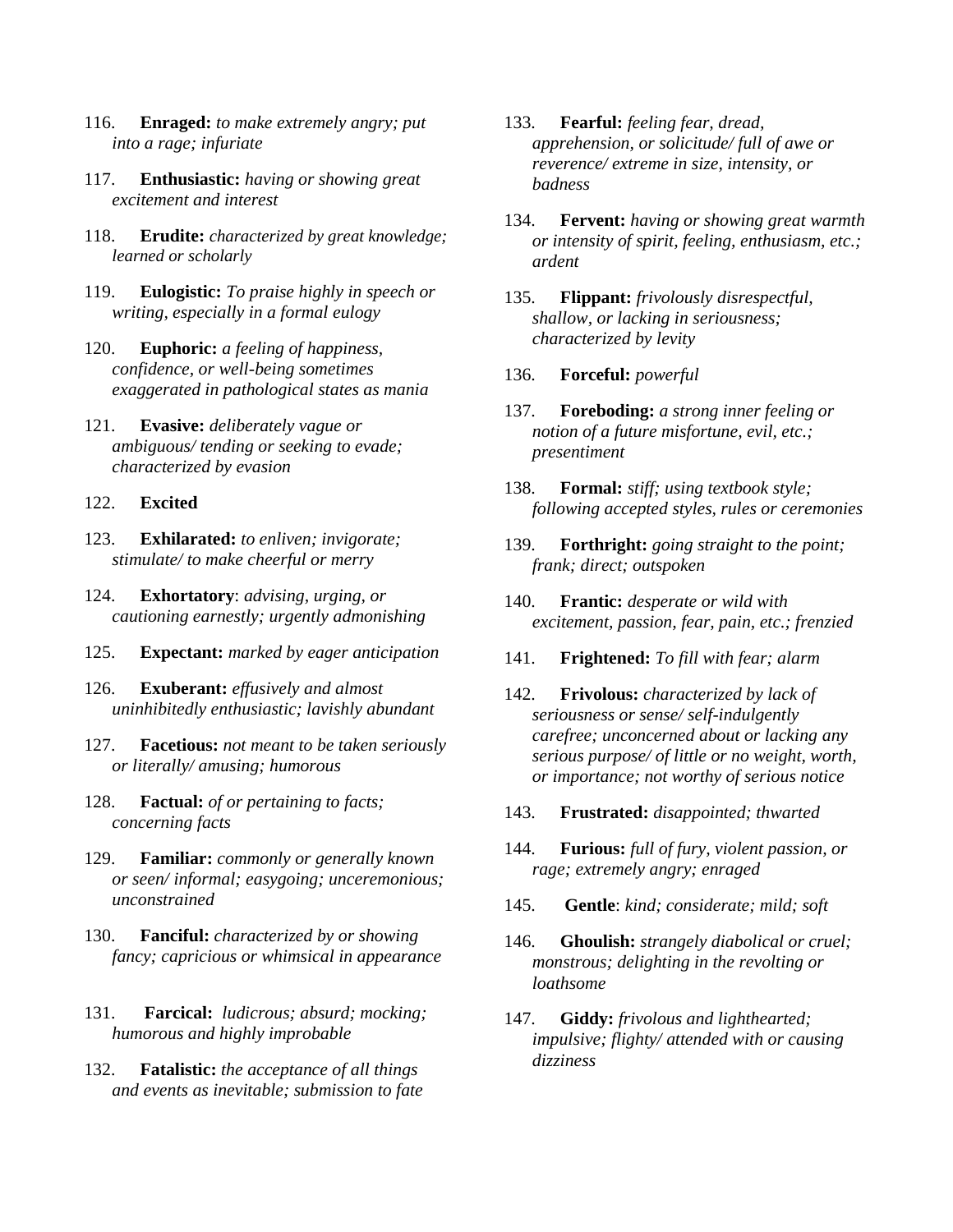- 116. **Enraged:** *to make extremely angry; put into a rage; infuriate*
- 117. **Enthusiastic:** *having or showing great excitement and interest*
- 118. **Erudite:** *characterized by great knowledge; learned or scholarly*
- 119. **Eulogistic:** *To praise highly in speech or writing, especially in a formal eulogy*
- 120. **Euphoric:** *a feeling of happiness, confidence, or well-being sometimes exaggerated in pathological states as mania*
- 121. **Evasive:** *deliberately vague or ambiguous/ tending or seeking to evade; characterized by evasion*
- 122. **Excited**
- 123. **Exhilarated:** *to enliven; invigorate; stimulate/ to make cheerful or merry*
- 124. **Exhortatory**: *advising, urging, or cautioning earnestly; urgently admonishing*
- 125. **Expectant:** *marked by eager anticipation*
- 126. **Exuberant:** *effusively and almost uninhibitedly enthusiastic; lavishly abundant*
- 127. **Facetious:** *not meant to be taken seriously or literally/ amusing; humorous*
- 128. **Factual:** *of or pertaining to facts; concerning facts*
- 129. **Familiar:** *commonly or generally known or seen/ informal; easygoing; unceremonious; unconstrained*
- 130. **Fanciful:** *characterized by or showing fancy; capricious or whimsical in appearance*
- 131. **Farcical:** *ludicrous; absurd; mocking; humorous and highly improbable*
- 132. **Fatalistic:** *the acceptance of all things and events as inevitable; submission to fate*
- 133. **Fearful:** *feeling fear, dread, apprehension, or solicitude/ full of awe or reverence/ extreme in size, intensity, or badness*
- 134. **Fervent:** *having or showing great warmth or intensity of spirit, feeling, enthusiasm, etc.; ardent*
- 135. **Flippant:** *frivolously disrespectful, shallow, or lacking in seriousness; characterized by levity*
- 136. **Forceful:** *powerful*
- 137. **Foreboding:** *a strong inner feeling or notion of a future misfortune, evil, etc.; presentiment*
- 138. **Formal:** *stiff; using textbook style; following accepted styles, rules or ceremonies*
- 139. **Forthright:** *going straight to the point; frank; direct; outspoken*
- 140. **Frantic:** *desperate or wild with excitement, passion, fear, pain, etc.; frenzied*
- 141. **Frightened:** *To fill with fear; alarm*
- 142. **Frivolous:** *characterized by lack of seriousness or sense/ self-indulgently carefree; unconcerned about or lacking any serious purpose/ of little or no weight, worth, or importance; not worthy of serious notice*
- 143. **Frustrated:** *disappointed; thwarted*
- 144. **Furious:** *full of fury, violent passion, or rage; extremely angry; enraged*
- 145. **Gentle**: *kind; considerate; mild; soft*
- 146. **Ghoulish:** *strangely diabolical or cruel; monstrous; delighting in the revolting or loathsome*
- 147. **Giddy:** *frivolous and lighthearted; impulsive; flighty/ attended with or causing dizziness*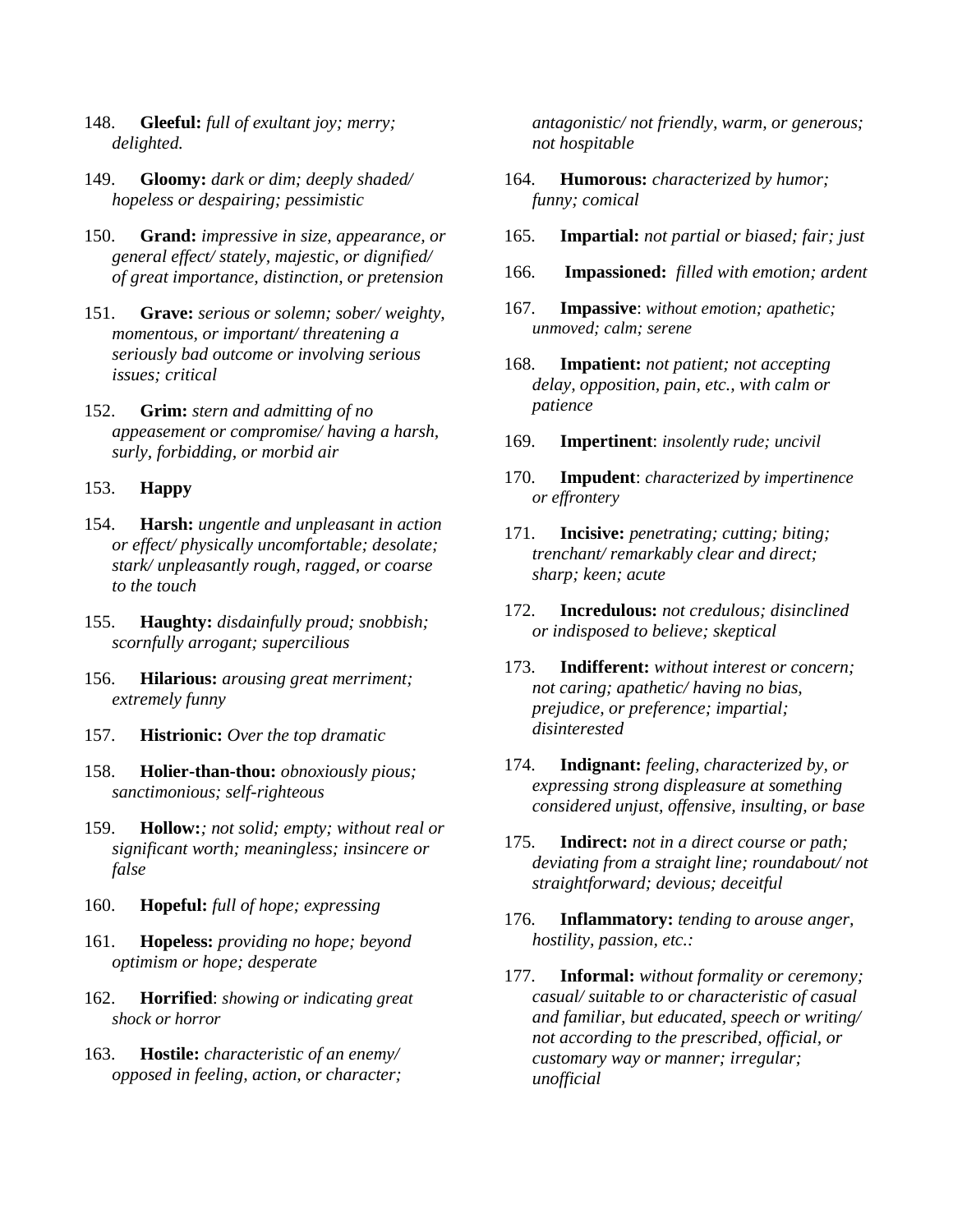- 148. **Gleeful:** *full of exultant joy; merry; delighted.*
- 149. **Gloomy:** *dark or dim; deeply shaded/ hopeless or despairing; pessimistic*
- 150. **Grand:** *impressive in size, appearance, or general effect/ stately, majestic, or dignified/ of great importance, distinction, or pretension*
- 151. **Grave:** *serious or solemn; sober/ weighty, momentous, or important/ threatening a seriously bad outcome or involving serious issues; critical*
- 152. **Grim:** *stern and admitting of no appeasement or compromise/ having a harsh, surly, forbidding, or morbid air*

#### 153. **Happy**

- 154. **Harsh:** *ungentle and unpleasant in action or effect/ physically uncomfortable; desolate; stark/ unpleasantly rough, ragged, or coarse to the touch*
- 155. **Haughty:** *disdainfully proud; snobbish; scornfully arrogant; supercilious*
- 156. **Hilarious:** *arousing great merriment; extremely funny*
- 157. **Histrionic:** *Over the top dramatic*
- 158. **Holier-than-thou:** *obnoxiously pious; sanctimonious; self-righteous*
- 159. **Hollow:***; not solid; empty; without real or significant worth; meaningless; insincere or false*
- 160. **Hopeful:** *full of hope; expressing*
- 161. **Hopeless:** *providing no hope; beyond optimism or hope; desperate*
- 162. **Horrified**: *showing or indicating great shock or horror*
- 163. **Hostile:** *characteristic of an enemy/ opposed in feeling, action, or character;*

*antagonistic/ not friendly, warm, or generous; not hospitable*

- 164. **Humorous:** *characterized by humor; funny; comical*
- 165. **Impartial:** *not partial or biased; fair; just*
- 166. **Impassioned:** *filled with emotion; ardent*
- 167. **Impassive**: *without emotion; apathetic; unmoved; calm; serene*
- 168. **Impatient:** *not patient; not accepting delay, opposition, pain, etc., with calm or patience*
- 169. **Impertinent**: *insolently rude; uncivil*
- 170. **Impudent**: *characterized by impertinence or effrontery*
- 171. **Incisive:** *penetrating; cutting; biting; trenchant/ remarkably clear and direct; sharp; keen; acute*
- 172. **Incredulous:** *not credulous; disinclined or indisposed to believe; skeptical*
- 173. **Indifferent:** *without interest or concern; not caring; apathetic/ having no bias, prejudice, or preference; impartial; disinterested*
- 174. **Indignant:** *feeling, characterized by, or expressing strong displeasure at something considered unjust, offensive, insulting, or base*
- 175. **Indirect:** *not in a direct course or path; deviating from a straight line; roundabout/ not straightforward; devious; deceitful*
- 176. **Inflammatory:** *tending to arouse anger, hostility, passion, etc.:*
- 177. **Informal:** *without formality or ceremony; casual/ suitable to or characteristic of casual and familiar, but educated, speech or writing/ not according to the prescribed, official, or customary way or manner; irregular; unofficial*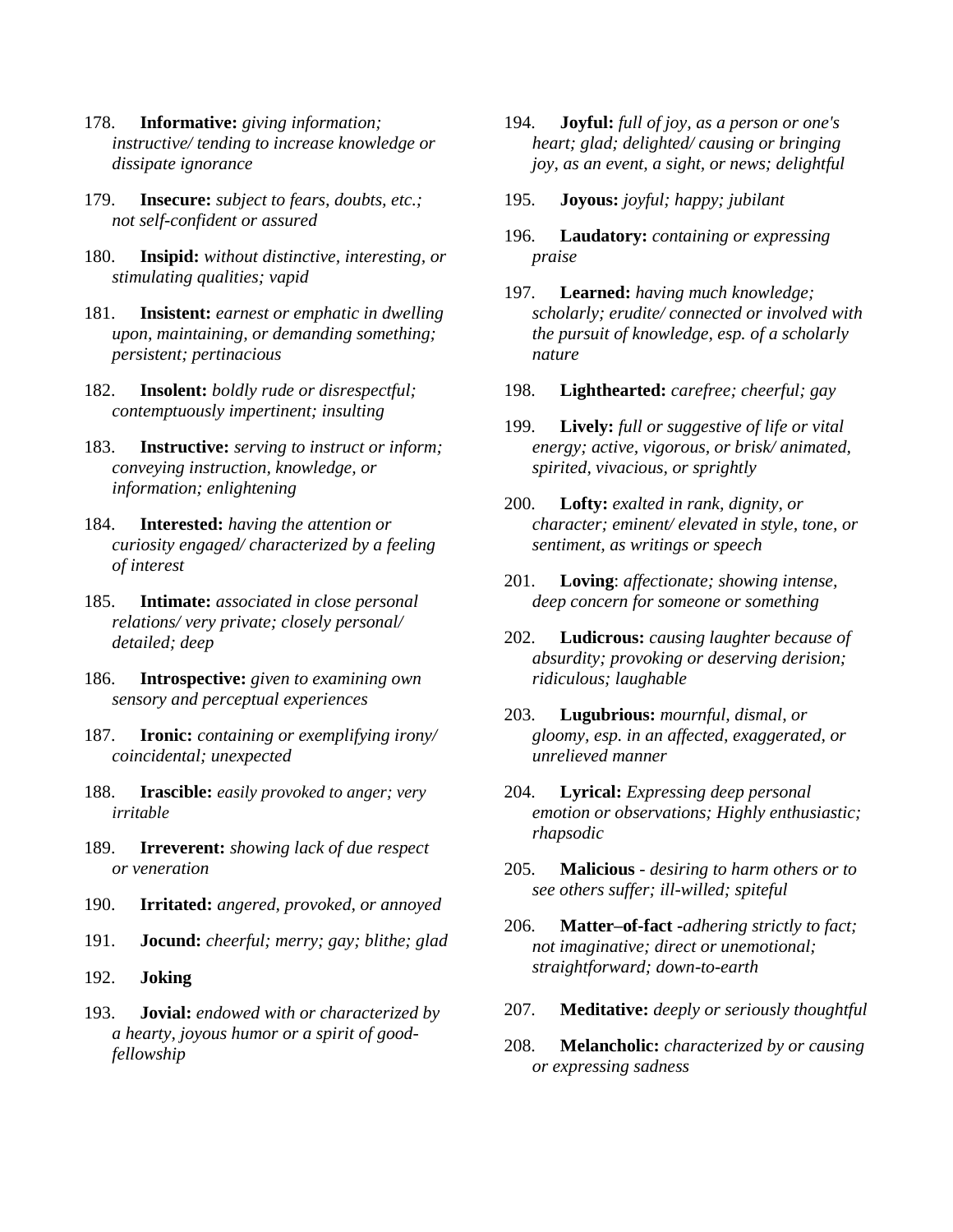- 178. **Informative:** *giving information; instructive/ tending to increase knowledge or dissipate ignorance*
- 179. **Insecure:** *subject to fears, doubts, etc.; not self-confident or assured*
- 180. **Insipid:** *without distinctive, interesting, or stimulating qualities; vapid*
- 181. **Insistent:** *earnest or emphatic in dwelling upon, maintaining, or demanding something; persistent; pertinacious*
- 182. **Insolent:** *boldly rude or disrespectful; contemptuously impertinent; insulting*
- 183. **Instructive:** *serving to instruct or inform; conveying instruction, knowledge, or information; enlightening*
- 184. **Interested:** *having the attention or curiosity engaged/ characterized by a feeling of interest*
- 185. **Intimate:** *associated in close personal relations/ very private; closely personal/ detailed; deep*
- 186. **Introspective:** *given to examining own sensory and perceptual experiences*
- 187. **Ironic:** *containing or exemplifying irony/ coincidental; unexpected*
- 188. **Irascible:** *easily provoked to anger; very irritable*
- 189. **Irreverent:** *showing lack of due respect or veneration*
- 190. **Irritated:** *angered, provoked, or annoyed*
- 191. **Jocund:** *cheerful; merry; gay; blithe; glad*
- 192. **Joking**
- 193. **Jovial:** *endowed with or characterized by a hearty, joyous humor or a spirit of goodfellowship*
- 194. **Joyful:** *full of joy, as a person or one's heart; glad; delighted/ causing or bringing joy, as an event, a sight, or news; delightful*
- 195. **Joyous:** *joyful; happy; jubilant*
- 196. **Laudatory:** *containing or expressing praise*
- 197. **Learned:** *having much knowledge; scholarly; erudite/ connected or involved with the pursuit of knowledge, esp. of a scholarly nature*
- 198. **Lighthearted:** *carefree; cheerful; gay*
- 199. **Lively:** *full or suggestive of life or vital energy; active, vigorous, or brisk/ animated, spirited, vivacious, or sprightly*
- 200. **Lofty:** *exalted in rank, dignity, or character; eminent/ elevated in style, tone, or sentiment, as writings or speech*
- 201. **Loving**: *affectionate; showing intense, deep concern for someone or something*
- 202. **Ludicrous:** *causing laughter because of absurdity; provoking or deserving derision; ridiculous; laughable*
- 203. **Lugubrious:** *mournful, dismal, or gloomy, esp. in an affected, exaggerated, or unrelieved manner*
- 204. **Lyrical:** *Expressing deep personal emotion or observations; Highly enthusiastic; rhapsodic*
- 205. **Malicious** *desiring to harm others or to see others suffer; ill-willed; spiteful*
- 206. **Matter–of-fact -***adhering strictly to fact; not imaginative; direct or unemotional; straightforward; down-to-earth*
- 207. **Meditative:** *deeply or seriously thoughtful*
- 208. **Melancholic:** *characterized by or causing or expressing sadness*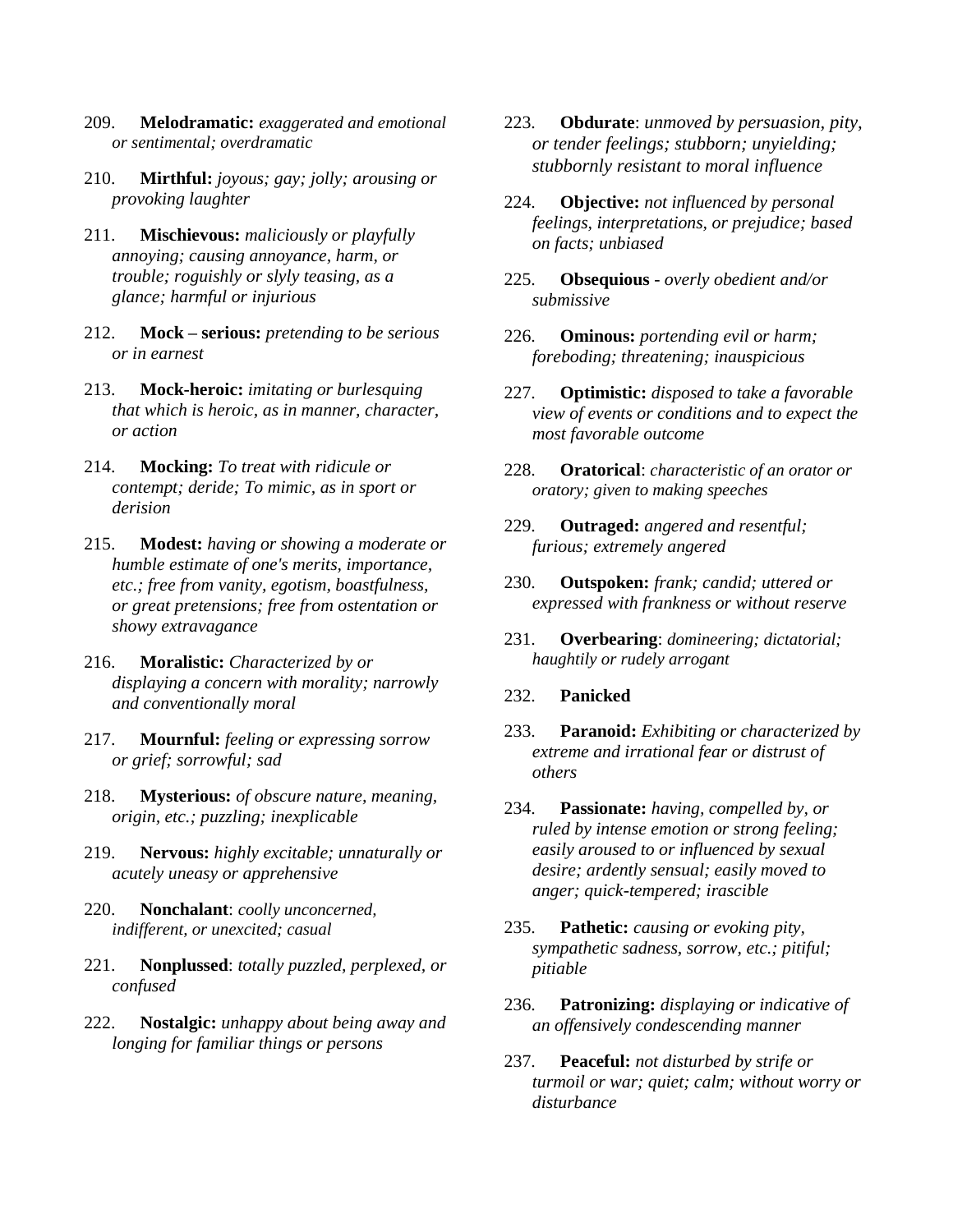- 209. **Melodramatic:** *exaggerated and emotional or sentimental; overdramatic*
- 210. **Mirthful:** *joyous; gay; jolly; arousing or provoking laughter*
- 211. **Mischievous:** *maliciously or playfully annoying; causing annoyance, harm, or trouble; roguishly or slyly teasing, as a glance; harmful or injurious*
- 212. **Mock – serious:** *pretending to be serious or in earnest*
- 213. **Mock-heroic:** *imitating or burlesquing that which is heroic, as in manner, character, or action*
- 214. **Mocking:** *To treat with ridicule or contempt; deride; To mimic, as in sport or derision*
- 215. **Modest:** *having or showing a moderate or humble estimate of one's merits, importance, etc.; free from vanity, egotism, boastfulness, or great pretensions; free from ostentation or showy extravagance*
- 216. **Moralistic:** *Characterized by or displaying a concern with morality; narrowly and conventionally moral*
- 217. **Mournful:** *feeling or expressing sorrow or grief; sorrowful; sad*
- 218. **Mysterious:** *of obscure nature, meaning, origin, etc.; puzzling; inexplicable*
- 219. **Nervous:** *highly excitable; unnaturally or acutely uneasy or apprehensive*
- 220. **Nonchalant**: *coolly unconcerned, indifferent, or unexcited; casual*
- 221. **Nonplussed**: *totally puzzled, perplexed, or confused*
- 222. **Nostalgic:** *unhappy about being away and longing for familiar things or persons*
- 223. **Obdurate**: *unmoved by persuasion, pity, or tender feelings; stubborn; unyielding; stubbornly resistant to moral influence*
- 224. **Objective:** *not influenced by personal feelings, interpretations, or prejudice; based on facts; unbiased*
- 225. **Obsequious** *overly obedient and/or submissive*
- 226. **Ominous:** *portending evil or harm; foreboding; threatening; inauspicious*
- 227. **Optimistic:** *disposed to take a favorable view of events or conditions and to expect the most favorable outcome*
- 228. **Oratorical**: *characteristic of an orator or oratory; given to making speeches*
- 229. **Outraged:** *angered and resentful; furious; extremely angered*
- 230. **Outspoken:** *frank; candid; uttered or expressed with frankness or without reserve*
- 231. **Overbearing**: *domineering; dictatorial; haughtily or rudely arrogant*

#### 232. **Panicked**

- 233. **Paranoid:** *Exhibiting or characterized by extreme and irrational fear or distrust of others*
- 234. **Passionate:** *having, compelled by, or ruled by intense emotion or strong feeling; easily aroused to or influenced by sexual desire; ardently sensual; easily moved to anger; quick-tempered; irascible*
- 235. **Pathetic:** *causing or evoking pity, sympathetic sadness, sorrow, etc.; pitiful; pitiable*
- 236. **Patronizing:** *displaying or indicative of an offensively condescending manner*
- 237. **Peaceful:** *not disturbed by strife or turmoil or war; quiet; calm; without worry or disturbance*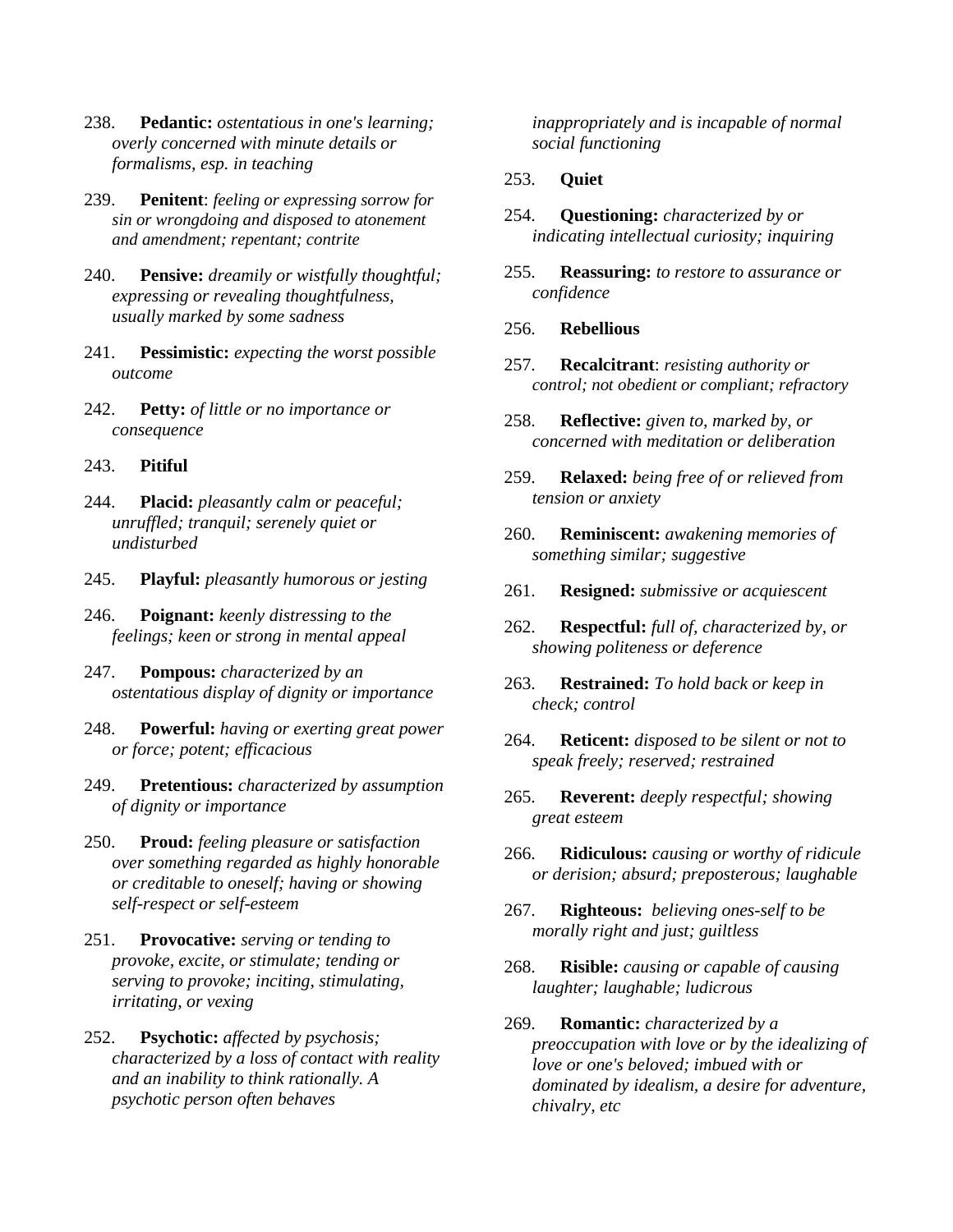- 238. **Pedantic:** *ostentatious in one's learning; overly concerned with minute details or formalisms, esp. in teaching*
- 239. **Penitent**: *feeling or expressing sorrow for sin or wrongdoing and disposed to atonement and amendment; repentant; contrite*
- 240. **Pensive:** *dreamily or wistfully thoughtful; expressing or revealing thoughtfulness, usually marked by some sadness*
- 241. **Pessimistic:** *expecting the worst possible outcome*
- 242. **Petty:** *of little or no importance or consequence*
- 243. **Pitiful**
- 244. **Placid:** *pleasantly calm or peaceful; unruffled; tranquil; serenely quiet or undisturbed*
- 245. **Playful:** *pleasantly humorous or jesting*
- 246. **Poignant:** *keenly distressing to the feelings; keen or strong in mental appeal*
- 247. **Pompous:** *characterized by an ostentatious display of dignity or importance*
- 248. **Powerful:** *having or exerting great power or force; potent; efficacious*
- 249. **Pretentious:** *characterized by assumption of dignity or importance*
- 250. **Proud:** *feeling pleasure or satisfaction over something regarded as highly honorable or creditable to oneself; having or showing self-respect or self-esteem*
- 251. **Provocative:** *serving or tending to provoke, excite, or stimulate; tending or serving to provoke; inciting, stimulating, irritating, or vexing*
- 252. **Psychotic:** *affected by psychosis; characterized by a loss of contact with reality and an inability to think rationally. A psychotic person often behaves*

*inappropriately and is incapable of normal social functioning*

### 253. **Quiet**

- 254. **Questioning:** *characterized by or indicating intellectual curiosity; inquiring*
- 255. **Reassuring:** *to restore to assurance or confidence*
- 256. **Rebellious**
- 257. **Recalcitrant**: *resisting authority or control; not obedient or compliant; refractory*
- 258. **Reflective:** *given to, marked by, or concerned with meditation or deliberation*
- 259. **Relaxed:** *being free of or relieved from tension or anxiety*
- 260. **Reminiscent:** *awakening memories of something similar; suggestive*
- 261. **Resigned:** *submissive or acquiescent*
- 262. **Respectful:** *full of, characterized by, or showing politeness or deference*
- 263. **Restrained:** *To hold back or keep in check; control*
- 264. **Reticent:** *disposed to be silent or not to speak freely; reserved; restrained*
- 265. **Reverent:** *deeply respectful; showing great esteem*
- 266. **Ridiculous:** *causing or worthy of ridicule or derision; absurd; preposterous; laughable*
- 267. **Righteous:** *believing ones-self to be morally right and just; guiltless*
- 268. **Risible:** *causing or capable of causing laughter; laughable; ludicrous*
- 269. **Romantic:** *characterized by a preoccupation with love or by the idealizing of love or one's beloved; imbued with or dominated by idealism, a desire for adventure, chivalry, etc*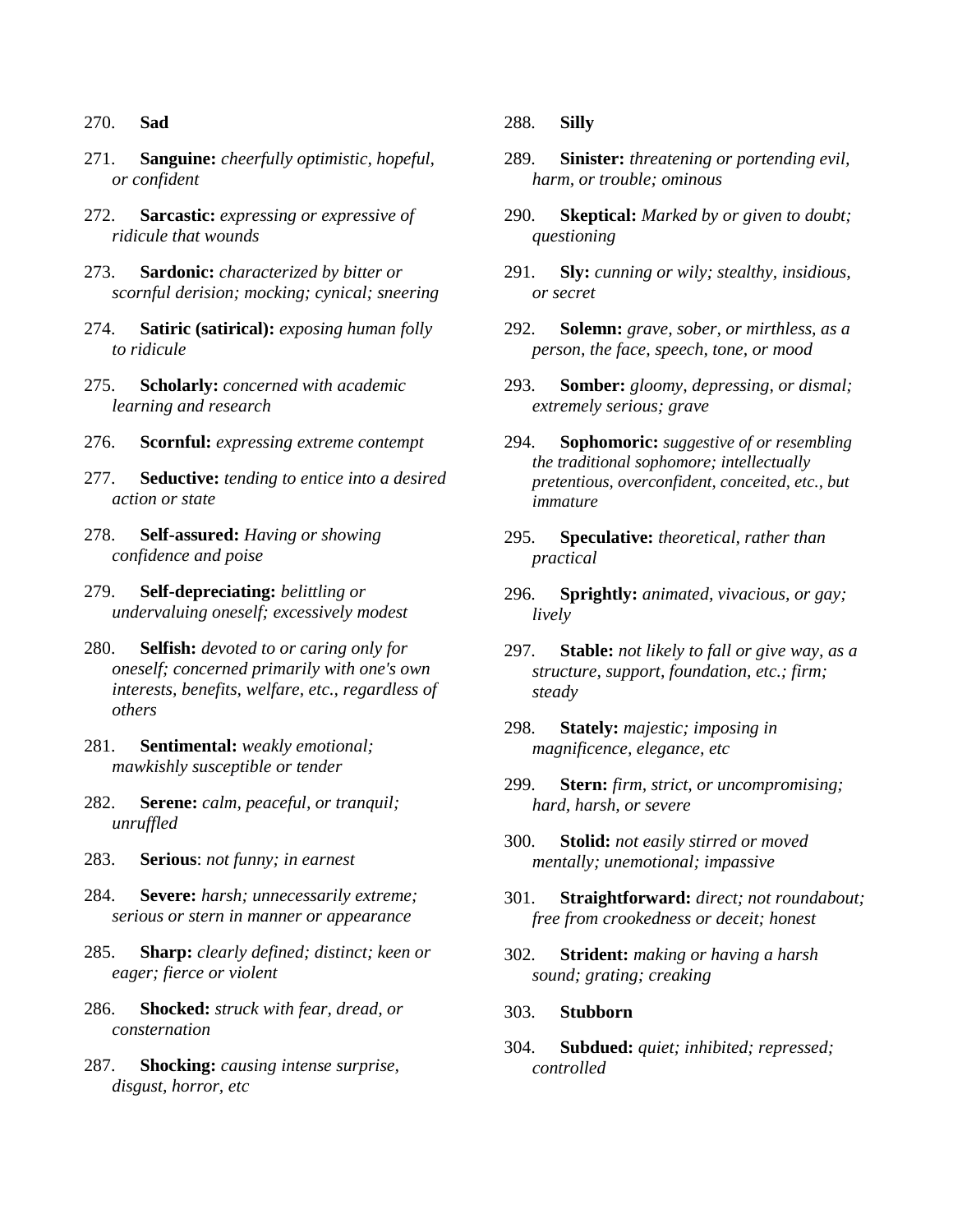#### 270. **Sad**

- 271. **Sanguine:** *cheerfully optimistic, hopeful, or confident*
- 272. **Sarcastic:** *expressing or expressive of ridicule that wounds*
- 273. **Sardonic:** *characterized by bitter or scornful derision; mocking; cynical; sneering*
- 274. **Satiric (satirical):** *exposing human folly to ridicule*
- 275. **Scholarly:** *concerned with academic learning and research*
- 276. **Scornful:** *expressing extreme contempt*
- 277. **Seductive:** *tending to entice into a desired action or state*
- 278. **Self-assured:** *Having or showing confidence and poise*
- 279. **Self-depreciating:** *belittling or undervaluing oneself; excessively modest*
- 280. **Selfish:** *devoted to or caring only for oneself; concerned primarily with one's own interests, benefits, welfare, etc., regardless of others*
- 281. **Sentimental:** *weakly emotional; mawkishly susceptible or tender*
- 282. **Serene:** *calm, peaceful, or tranquil; unruffled*
- 283. **Serious**: *not funny; in earnest*
- 284. **Severe:** *harsh; unnecessarily extreme; serious or stern in manner or appearance*
- 285. **Sharp:** *clearly defined; distinct; keen or eager; fierce or violent*
- 286. **Shocked:** *struck with fear, dread, or consternation*
- 287. **Shocking:** *causing intense surprise, disgust, horror, etc*

288. **Silly**

- 289. **Sinister:** *threatening or portending evil, harm, or trouble; ominous*
- 290. **Skeptical:** *Marked by or given to doubt; questioning*
- 291. **Sly:** *cunning or wily; stealthy, insidious, or secret*
- 292. **Solemn:** *grave, sober, or mirthless, as a person, the face, speech, tone, or mood*
- 293. **Somber:** *gloomy, depressing, or dismal; extremely serious; grave*
- 294. **Sophomoric:** *suggestive of or resembling the traditional sophomore; intellectually pretentious, overconfident, conceited, etc., but immature*
- 295. **Speculative:** *theoretical, rather than practical*
- 296. **Sprightly:** *animated, vivacious, or gay; lively*
- 297. **Stable:** *not likely to fall or give way, as a structure, support, foundation, etc.; firm; steady*
- 298. **Stately:** *majestic; imposing in magnificence, elegance, etc*
- 299. **Stern:** *firm, strict, or uncompromising; hard, harsh, or severe*
- 300. **Stolid:** *not easily stirred or moved mentally; unemotional; impassive*
- 301. **Straightforward:** *direct; not roundabout; free from crookedness or deceit; honest*
- 302. **Strident:** *making or having a harsh sound; grating; creaking*
- 303. **Stubborn**
- 304. **Subdued:** *quiet; inhibited; repressed; controlled*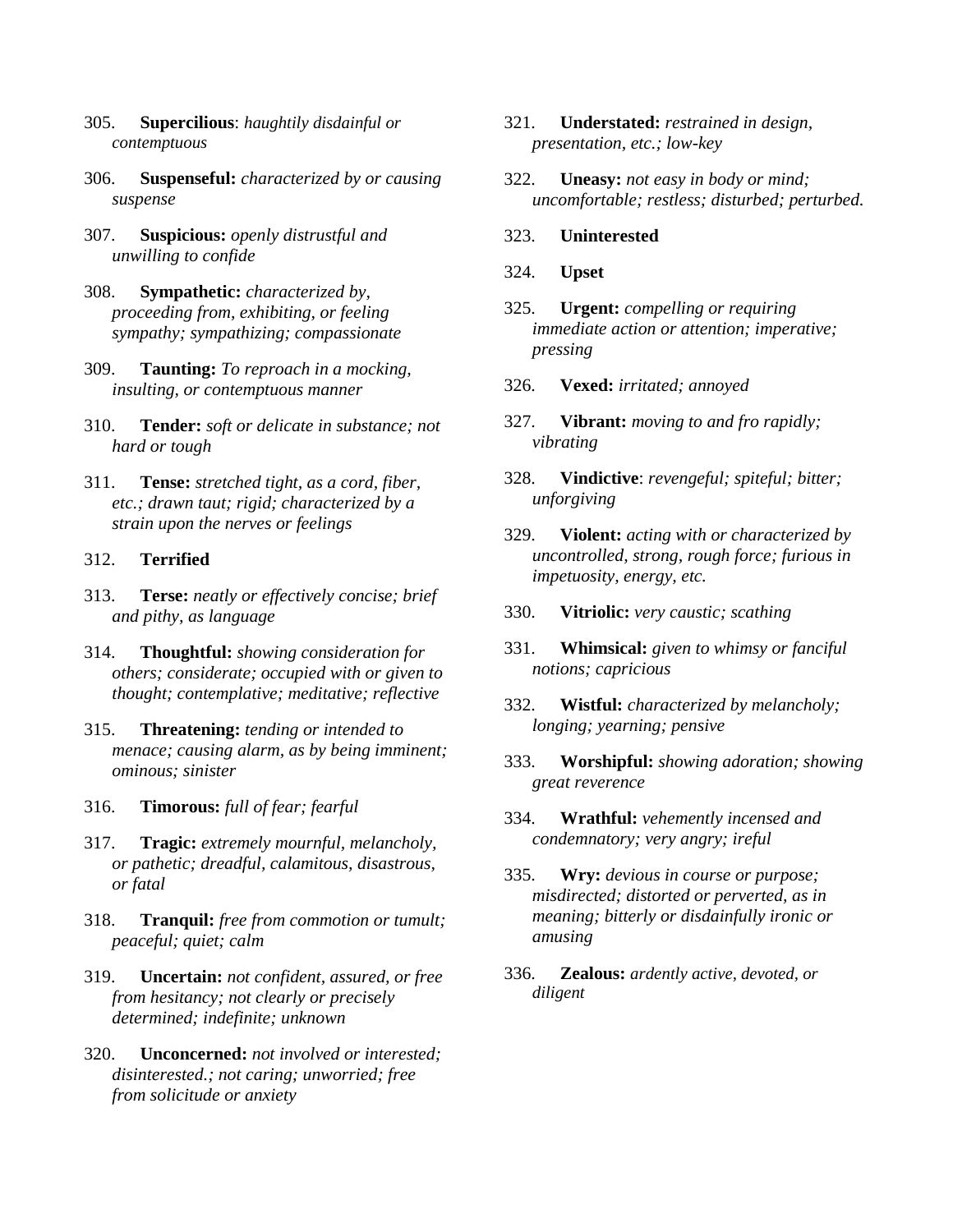- 305. **Supercilious**: *haughtily disdainful or contemptuous*
- 306. **Suspenseful:** *characterized by or causing suspense*
- 307. **Suspicious:** *openly distrustful and unwilling to confide*
- 308. **Sympathetic:** *characterized by, proceeding from, exhibiting, or feeling sympathy; sympathizing; compassionate*
- 309. **Taunting:** *To reproach in a mocking, insulting, or contemptuous manner*
- 310. **Tender:** *soft or delicate in substance; not hard or tough*
- 311. **Tense:** *stretched tight, as a cord, fiber, etc.; drawn taut; rigid; characterized by a strain upon the nerves or feelings*

### 312. **Terrified**

- 313. **Terse:** *neatly or effectively concise; brief and pithy, as language*
- 314. **Thoughtful:** *showing consideration for others; considerate; occupied with or given to thought; contemplative; meditative; reflective*
- 315. **Threatening:** *tending or intended to menace; causing alarm, as by being imminent; ominous; sinister*
- 316. **Timorous:** *full of fear; fearful*
- 317. **Tragic:** *extremely mournful, melancholy, or pathetic; dreadful, calamitous, disastrous, or fatal*
- 318. **Tranquil:** *free from commotion or tumult; peaceful; quiet; calm*
- 319. **Uncertain:** *not confident, assured, or free from hesitancy; not clearly or precisely determined; indefinite; unknown*
- 320. **Unconcerned:** *not involved or interested; disinterested.; not caring; unworried; free from solicitude or anxiety*
- 321. **Understated:** *restrained in design, presentation, etc.; low-key*
- 322. **Uneasy:** *not easy in body or mind; uncomfortable; restless; disturbed; perturbed.*
- 323. **Uninterested**
- 324. **Upset**
- 325. **Urgent:** *compelling or requiring immediate action or attention; imperative; pressing*
- 326. **Vexed:** *irritated; annoyed*
- 327. **Vibrant:** *moving to and fro rapidly; vibrating*
- 328. **Vindictive**: *revengeful; spiteful; bitter; unforgiving*
- 329. **Violent:** *acting with or characterized by uncontrolled, strong, rough force; furious in impetuosity, energy, etc.*
- 330. **Vitriolic:** *very caustic; scathing*
- 331. **Whimsical:** *given to whimsy or fanciful notions; capricious*
- 332. **Wistful:** *characterized by melancholy; longing; yearning; pensive*
- 333. **Worshipful:** *showing adoration; showing great reverence*
- 334. **Wrathful:** *vehemently incensed and condemnatory; very angry; ireful*
- 335. **Wry:** *devious in course or purpose; misdirected; distorted or perverted, as in meaning; bitterly or disdainfully ironic or amusing*
- 336. **Zealous:** *ardently active, devoted, or diligent*